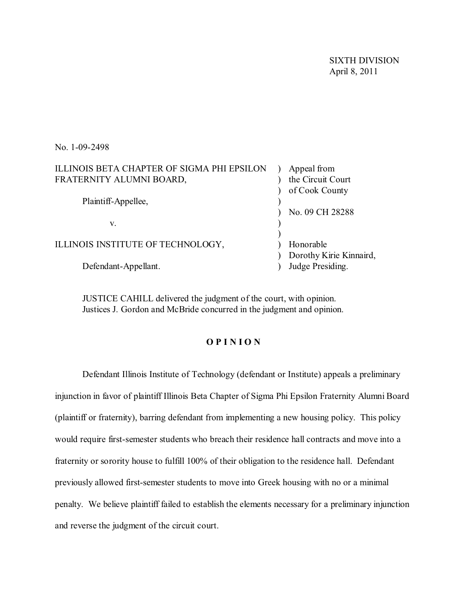SIXTH DIVISION April 8, 2011

No. 1-09-2498

| ILLINOIS BETA CHAPTER OF SIGMA PHI EPSILON | Appeal from             |
|--------------------------------------------|-------------------------|
| FRATERNITY ALUMNI BOARD,                   | the Circuit Court       |
|                                            | of Cook County          |
| Plaintiff-Appellee,                        |                         |
|                                            | No. 09 CH 28288         |
| V.                                         |                         |
|                                            |                         |
| ILLINOIS INSTITUTE OF TECHNOLOGY,          | Honorable               |
|                                            | Dorothy Kirie Kinnaird, |
| Defendant-Appellant.                       | Judge Presiding.        |
|                                            |                         |

JUSTICE CAHILL delivered the judgment of the court, with opinion. Justices J. Gordon and McBride concurred in the judgment and opinion.

## **O P I N I O N**

Defendant Illinois Institute of Technology (defendant or Institute) appeals a preliminary injunction in favor of plaintiff Illinois Beta Chapter of Sigma Phi Epsilon Fraternity Alumni Board (plaintiff or fraternity), barring defendant from implementing a new housing policy. This policy would require first-semester students who breach their residence hall contracts and move into a fraternity or sorority house to fulfill 100% of their obligation to the residence hall. Defendant previously allowed first-semester students to move into Greek housing with no or a minimal penalty. We believe plaintiff failed to establish the elements necessary for a preliminary injunction and reverse the judgment of the circuit court.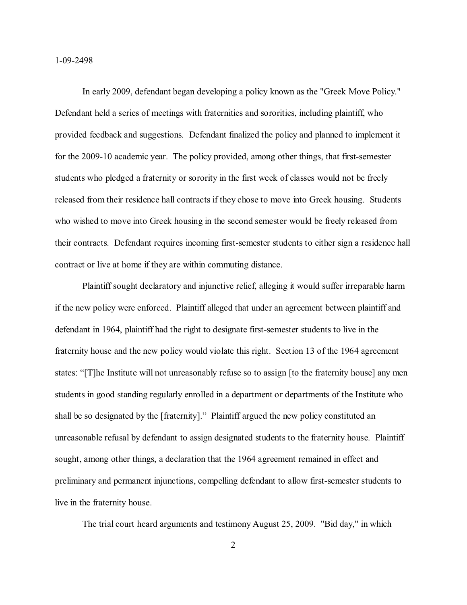In early 2009, defendant began developing a policy known as the "Greek Move Policy." Defendant held a series of meetings with fraternities and sororities, including plaintiff, who provided feedback and suggestions. Defendant finalized the policy and planned to implement it for the 2009-10 academic year. The policy provided, among other things, that first-semester students who pledged a fraternity or sorority in the first week of classes would not be freely released from their residence hall contracts if they chose to move into Greek housing. Students who wished to move into Greek housing in the second semester would be freely released from their contracts. Defendant requires incoming first-semester students to either sign a residence hall contract or live at home if they are within commuting distance.

Plaintiff sought declaratory and injunctive relief, alleging it would suffer irreparable harm if the new policy were enforced. Plaintiff alleged that under an agreement between plaintiff and defendant in 1964, plaintiff had the right to designate first-semester students to live in the fraternity house and the new policy would violate this right. Section 13 of the 1964 agreement states: "[T]he Institute will not unreasonably refuse so to assign [to the fraternity house] any men students in good standing regularly enrolled in a department or departments of the Institute who shall be so designated by the [fraternity]." Plaintiff argued the new policy constituted an unreasonable refusal by defendant to assign designated students to the fraternity house. Plaintiff sought, among other things, a declaration that the 1964 agreement remained in effect and preliminary and permanent injunctions, compelling defendant to allow first-semester students to live in the fraternity house.

The trial court heard arguments and testimony August 25, 2009. "Bid day," in which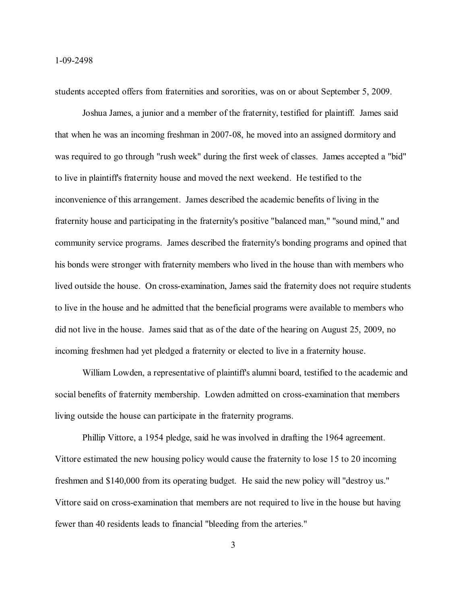students accepted offers from fraternities and sororities, was on or about September 5, 2009.

Joshua James, a junior and a member of the fraternity, testified for plaintiff. James said that when he was an incoming freshman in 2007-08, he moved into an assigned dormitory and was required to go through "rush week" during the first week of classes. James accepted a "bid" to live in plaintiff's fraternity house and moved the next weekend. He testified to the inconvenience of this arrangement. James described the academic benefits of living in the fraternity house and participating in the fraternity's positive "balanced man," "sound mind," and community service programs. James described the fraternity's bonding programs and opined that his bonds were stronger with fraternity members who lived in the house than with members who lived outside the house. On cross-examination, James said the fraternity does not require students to live in the house and he admitted that the beneficial programs were available to members who did not live in the house. James said that as of the date of the hearing on August 25, 2009, no incoming freshmen had yet pledged a fraternity or elected to live in a fraternity house.

William Lowden, a representative of plaintiff's alumni board, testified to the academic and social benefits of fraternity membership. Lowden admitted on cross-examination that members living outside the house can participate in the fraternity programs.

Phillip Vittore, a 1954 pledge, said he was involved in drafting the 1964 agreement. Vittore estimated the new housing policy would cause the fraternity to lose 15 to 20 incoming freshmen and \$140,000 from its operating budget. He said the new policy will "destroy us." Vittore said on cross-examination that members are not required to live in the house but having fewer than 40 residents leads to financial "bleeding from the arteries."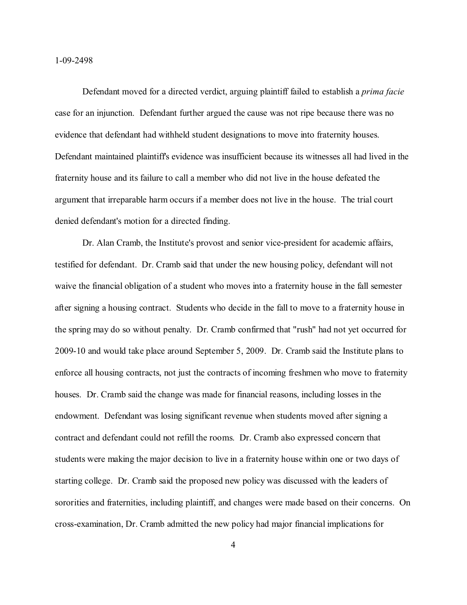Defendant moved for a directed verdict, arguing plaintiff failed to establish a *prima facie* case for an injunction. Defendant further argued the cause was not ripe because there was no evidence that defendant had withheld student designations to move into fraternity houses. Defendant maintained plaintiff's evidence was insufficient because its witnesses all had lived in the fraternity house and its failure to call a member who did not live in the house defeated the argument that irreparable harm occurs if a member does not live in the house. The trial court denied defendant's motion for a directed finding.

Dr. Alan Cramb, the Institute's provost and senior vice-president for academic affairs, testified for defendant. Dr. Cramb said that under the new housing policy, defendant will not waive the financial obligation of a student who moves into a fraternity house in the fall semester after signing a housing contract. Students who decide in the fall to move to a fraternity house in the spring may do so without penalty. Dr. Cramb confirmed that "rush" had not yet occurred for 2009-10 and would take place around September 5, 2009. Dr. Cramb said the Institute plans to enforce all housing contracts, not just the contracts of incoming freshmen who move to fraternity houses. Dr. Cramb said the change was made for financial reasons, including losses in the endowment. Defendant was losing significant revenue when students moved after signing a contract and defendant could not refill the rooms. Dr. Cramb also expressed concern that students were making the major decision to live in a fraternity house within one or two days of starting college. Dr. Cramb said the proposed new policy was discussed with the leaders of sororities and fraternities, including plaintiff, and changes were made based on their concerns. On cross-examination, Dr. Cramb admitted the new policy had major financial implications for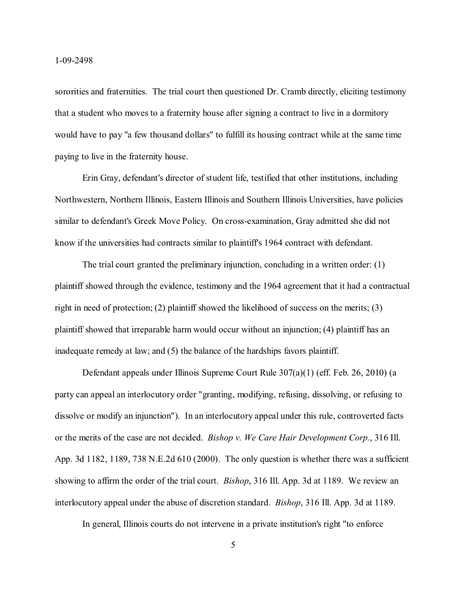sororities and fraternities. The trial court then questioned Dr. Cramb directly, eliciting testimony that a student who moves to a fraternity house after signing a contract to live in a dormitory would have to pay "a few thousand dollars" to fulfill its housing contract while at the same time paying to live in the fraternity house.

Erin Gray, defendant's director of student life, testified that other institutions, including Northwestern, Northern Illinois, Eastern Illinois and Southern Illinois Universities, have policies similar to defendant's Greek Move Policy. On cross-examination, Gray admitted she did not know if the universities had contracts similar to plaintiff's 1964 contract with defendant.

The trial court granted the preliminary injunction, concluding in a written order: (1) plaintiff showed through the evidence, testimony and the 1964 agreement that it had a contractual right in need of protection; (2) plaintiff showed the likelihood of success on the merits; (3) plaintiff showed that irreparable harm would occur without an injunction; (4) plaintiff has an inadequate remedy at law; and (5) the balance of the hardships favors plaintiff.

Defendant appeals under Illinois Supreme Court Rule 307(a)(1) (eff. Feb. 26, 2010) (a party can appeal an interlocutory order "granting, modifying, refusing, dissolving, or refusing to dissolve or modify an injunction"). In an interlocutory appeal under this rule, controverted facts or the merits of the case are not decided. *Bishop v. We Care Hair Development Corp.*, 316 Ill. App. 3d 1182, 1189, 738 N.E.2d 610 (2000). The only question is whether there was a sufficient showing to affirm the order of the trial court. *Bishop*, 316 Ill. App. 3d at 1189. We review an interlocutory appeal under the abuse of discretion standard. *Bishop*, 316 Ill. App. 3d at 1189.

In general, Illinois courts do not intervene in a private institution's right "to enforce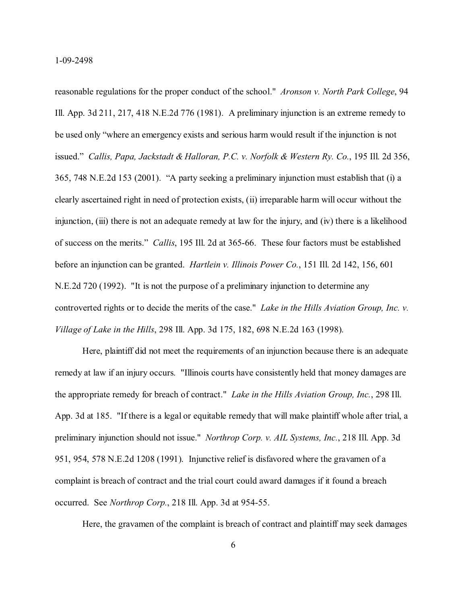reasonable regulations for the proper conduct of the school." *Aronson v. North Park College*, 94 Ill. App. 3d 211, 217, 418 N.E.2d 776 (1981). A preliminary injunction is an extreme remedy to be used only "where an emergency exists and serious harm would result if the injunction is not issued." *Callis, Papa, Jackstadt & Halloran, P.C. v. Norfolk & Western Ry. Co.*, 195 Ill. 2d 356, 365, 748 N.E.2d 153 (2001). "A party seeking a preliminary injunction must establish that (i) a clearly ascertained right in need of protection exists, (ii) irreparable harm will occur without the injunction, (iii) there is not an adequate remedy at law for the injury, and (iv) there is a likelihood of success on the merits." *Callis*, 195 Ill. 2d at 365-66. These four factors must be established before an injunction can be granted. *Hartlein v. Illinois Power Co.*, 151 Ill. 2d 142, 156, 601 N.E.2d 720 (1992). "It is not the purpose of a preliminary injunction to determine any controverted rights or to decide the merits of the case." *Lake in the Hills Aviation Group, Inc. v. Village of Lake in the Hills*, 298 Ill. App. 3d 175, 182, 698 N.E.2d 163 (1998).

Here, plaintiff did not meet the requirements of an injunction because there is an adequate remedy at law if an injury occurs. "Illinois courts have consistently held that money damages are the appropriate remedy for breach of contract." *Lake in the Hills Aviation Group, Inc.*, 298 Ill. App. 3d at 185. "If there is a legal or equitable remedy that will make plaintiff whole after trial, a preliminary injunction should not issue." *Northrop Corp. v. AIL Systems, Inc.*, 218 Ill. App. 3d 951, 954, 578 N.E.2d 1208 (1991). Injunctive relief is disfavored where the gravamen of a complaint is breach of contract and the trial court could award damages if it found a breach occurred. See *Northrop Corp.*, 218 Ill. App. 3d at 954-55.

Here, the gravamen of the complaint is breach of contract and plaintiff may seek damages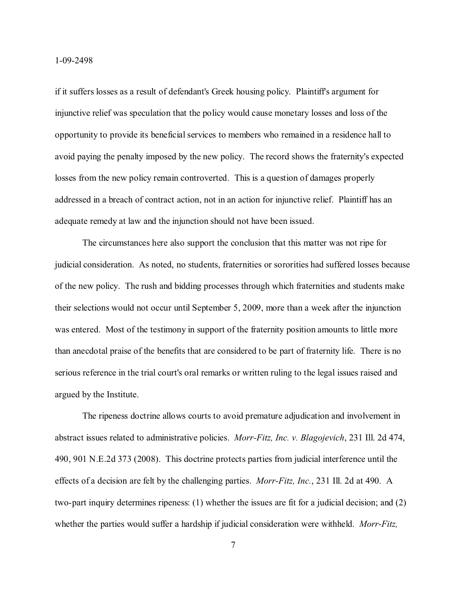if it suffers losses as a result of defendant's Greek housing policy. Plaintiff's argument for injunctive relief was speculation that the policy would cause monetary losses and loss of the opportunity to provide its beneficial services to members who remained in a residence hall to avoid paying the penalty imposed by the new policy. The record shows the fraternity's expected losses from the new policy remain controverted. This is a question of damages properly addressed in a breach of contract action, not in an action for injunctive relief. Plaintiff has an adequate remedy at law and the injunction should not have been issued.

The circumstances here also support the conclusion that this matter was not ripe for judicial consideration. As noted, no students, fraternities or sororities had suffered losses because of the new policy. The rush and bidding processes through which fraternities and students make their selections would not occur until September 5, 2009, more than a week after the injunction was entered. Most of the testimony in support of the fraternity position amounts to little more than anecdotal praise of the benefits that are considered to be part of fraternity life. There is no serious reference in the trial court's oral remarks or written ruling to the legal issues raised and argued by the Institute.

The ripeness doctrine allows courts to avoid premature adjudication and involvement in abstract issues related to administrative policies. *Morr-Fitz, Inc. v. Blagojevich*, 231 Ill. 2d 474, 490, 901 N.E.2d 373 (2008). This doctrine protects parties from judicial interference until the effects of a decision are felt by the challenging parties. *Morr-Fitz, Inc.*, 231 Ill. 2d at 490. A two-part inquiry determines ripeness: (1) whether the issues are fit for a judicial decision; and (2) whether the parties would suffer a hardship if judicial consideration were withheld. *Morr-Fitz,*